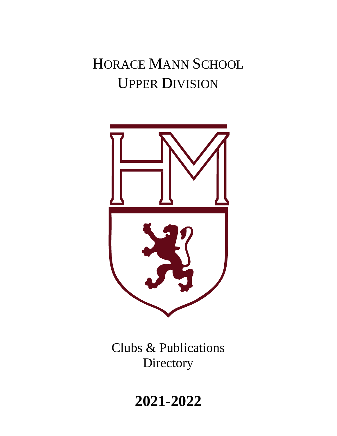# HORACE MANN SCHOOL UPPER DIVISION



Clubs & Publications **Directory** 

**2021-2022**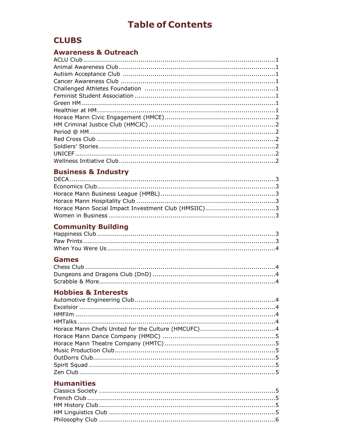## **Table of Contents**

## **CLUBS**

## **Awareness & Outreach**

## **Business & Industry**

## **Community Building**

#### **Games**

## **Hobbies & Interests**

## **Humanities**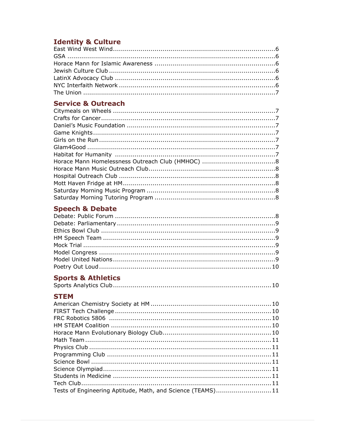## **Identity & Culture**

## **Service & Outreach**

## **Speech & Debate**

## **Sports & Athletics**

|--|--|--|--|

#### **STEM**

| Tests of Engineering Aptitude, Math, and Science (TEAMS)11 |  |
|------------------------------------------------------------|--|
|                                                            |  |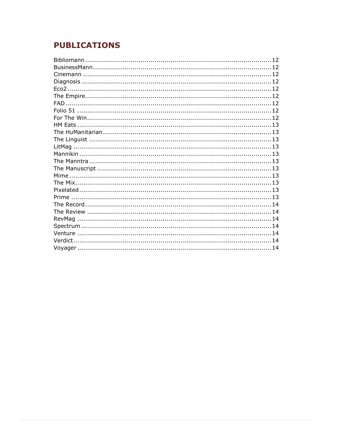## **PUBLICATIONS**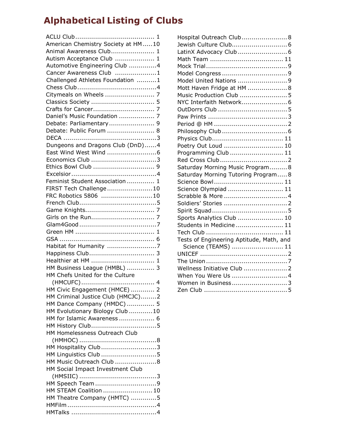# **Alphabetical Listing of Clubs**

| American Chemistry Society at HM10 |
|------------------------------------|
| Animal Awareness Club 1            |
| Autism Acceptance Club  1          |
| Automotive Engineering Club 4      |
| Cancer Awareness Club 1            |
| Challenged Athletes Foundation 1   |
|                                    |
|                                    |
|                                    |
|                                    |
|                                    |
| Daniel's Music Foundation  7       |
| Debate: Parliamentary 9            |
| Debate: Public Forum  8            |
|                                    |
| Dungeons and Dragons Club (DnD)4   |
|                                    |
|                                    |
| Ethics Bowl Club  9                |
|                                    |
| Feminist Student Association  1    |
| FIRST Tech Challenge10             |
| FRC Robotics 5806 10               |
|                                    |
|                                    |
|                                    |
|                                    |
|                                    |
|                                    |
|                                    |
|                                    |
|                                    |
| Healthier at HM  1                 |
| HM Business League (HMBL)  3       |
| HM Chefs United for the Culture    |
|                                    |
| HM Civic Engagement (HMCE)  2      |
| HM Criminal Justice Club (HMCJC)2  |
| HM Dance Company (HMDC)  5         |
| HM Evolutionary Biology Club 10    |
| HM for Islamic Awareness  6        |
|                                    |
| HM Homelessness Outreach Club      |
|                                    |
| HM Hospitality Club3               |
|                                    |
|                                    |
| HM Linguistics Club 5              |
| HM Music Outreach Club 8           |
| HM Social Impact Investment Club   |
|                                    |
| HM Speech Team 9                   |
| HM STEAM Coalition  10             |
| HM Theatre Company (HMTC) 5        |
|                                    |

| Hospital Outreach Club 8                 |
|------------------------------------------|
| Jewish Culture Club 6                    |
|                                          |
|                                          |
|                                          |
|                                          |
| Model United Nations 9                   |
| Mott Haven Fridge at HM  8               |
| Music Production Club  5                 |
| NYC Interfaith Network 6                 |
|                                          |
|                                          |
|                                          |
|                                          |
|                                          |
| Poetry Out Loud  10                      |
| Programming Club  11                     |
|                                          |
| Saturday Morning Music Program8          |
| Saturday Morning Tutoring Program8       |
| Science Bowl 11                          |
| Science Olympiad  11                     |
|                                          |
|                                          |
|                                          |
| Sports Analytics Club  10                |
| Students in Medicine  11                 |
|                                          |
| Tests of Engineering Aptitude, Math, and |
| Science (TEAMS)  11                      |
|                                          |
|                                          |
| Wellness Initiative Club  2              |
| When You Were Us  4                      |
| Women in Business3                       |
|                                          |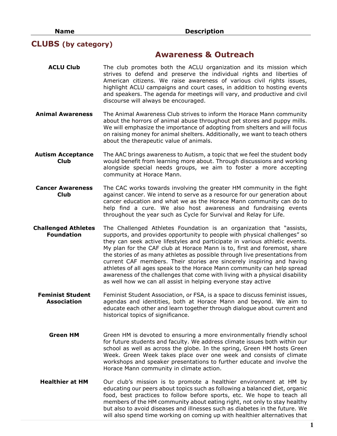#### **CLUBS (by category)**

#### **Awareness & Outreach**

- **ACLU Club** The club promotes both the ACLU organization and its mission which strives to defend and preserve the individual rights and liberties of American citizens. We raise awareness of various civil rights issues, highlight ACLU campaigns and court cases, in addition to hosting events and speakers. The agenda for meetings will vary, and productive and civil discourse will always be encouraged.
- **Animal Awareness** The Animal Awareness Club strives to inform the Horace Mann community about the horrors of animal abuse throughout pet stores and puppy mills. We will emphasize the importance of adopting from shelters and will focus on raising money for animal shelters. Additionally, we want to teach others about the therapeutic value of animals.
- **Autism Acceptance Club** The AAC brings awareness to Autism, a topic that we feel the student body would benefit from learning more about. Through discussions and working alongside special needs groups, we aim to foster a more accepting community at Horace Mann.
- **Cancer Awareness Club** The CAC works towards involving the greater HM community in the fight against cancer. We intend to serve as a resource for our generation about cancer education and what we as the Horace Mann community can do to help find a cure. We also host awareness and fundraising events throughout the year such as Cycle for Survival and Relay for Life.
- **Challenged Athletes Foundation** The Challenged Athletes Foundation is an organization that "assists, supports, and provides opportunity to people with physical challenges" so they can seek active lifestyles and participate in various athletic events. My plan for the CAF club at Horace Mann is to, first and foremost, share the stories of as many athletes as possible through live presentations from current CAF members. Their stories are sincerely inspiring and having athletes of all ages speak to the Horace Mann community can help spread awareness of the challenges that come with living with a physical disability as well how we can all assist in helping everyone stay active
	- **Feminist Student Association** Feminist Student Association, or FSA, is a space to discuss feminist issues, agendas and identities, both at Horace Mann and beyond. We aim to educate each other and learn together through dialogue about current and historical topics of significance.
		- **Green HM** Green HM is devoted to ensuring a more environmentally friendly school for future students and faculty. We address climate issues both within our school as well as across the globe. In the spring, Green HM hosts Green Week. Green Week takes place over one week and consists of climate workshops and speaker presentations to further educate and involve the Horace Mann community in climate action.
	- **Healthier at HM** Our club's mission is to promote a healthier environment at HM by educating our peers about topics such as following a balanced diet, organic food, best practices to follow before sports, etc. We hope to teach all members of the HM community about eating right, not only to stay healthy but also to avoid diseases and illnesses such as diabetes in the future. We will also spend time working on coming up with healthier alternatives that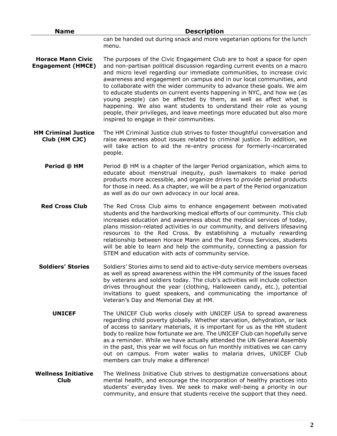| <b>Name</b>                                          | <b>Description</b>                                                                                                                                                                                                                                                                                                                                                                                                                                                                                                                                                                                                                                                                                                          |
|------------------------------------------------------|-----------------------------------------------------------------------------------------------------------------------------------------------------------------------------------------------------------------------------------------------------------------------------------------------------------------------------------------------------------------------------------------------------------------------------------------------------------------------------------------------------------------------------------------------------------------------------------------------------------------------------------------------------------------------------------------------------------------------------|
|                                                      | can be handed out during snack and more vegetarian options for the lunch<br>menu.                                                                                                                                                                                                                                                                                                                                                                                                                                                                                                                                                                                                                                           |
| <b>Horace Mann Civic</b><br><b>Engagement (HMCE)</b> | The purposes of the Civic Engagement Club are to host a space for open<br>and non-partisan political discussion regarding current events on a macro<br>and micro level regarding our immediate communities, to increase civic<br>awareness and engagement on campus and in our local communities, and<br>to collaborate with the wider community to advance these goals. We aim<br>to educate students on current events happening in NYC, and how we (as<br>young people) can be affected by them, as well as affect what is<br>happening. We also want students to understand their role as young<br>people, their privileges, and leave meetings more educated but also more<br>inspired to engage in their communities. |
| <b>HM Criminal Justice</b><br>Club (HM CJC)          | The HM Criminal Justice club strives to foster thoughtful conversation and<br>raise awareness about issues related to criminal justice. In addition, we<br>will take action to aid the re-entry process for formerly-incarcerated<br>people.                                                                                                                                                                                                                                                                                                                                                                                                                                                                                |
| Period @ HM                                          | Period @ HM is a chapter of the larger Period organization, which aims to<br>educate about menstrual inequity, push lawmakers to make period<br>products more accessible, and organize drives to provide period products<br>for those in need. As a chapter, we will be a part of the Period organization<br>as well as do our own advocacy in our local area.                                                                                                                                                                                                                                                                                                                                                              |
| <b>Red Cross Club</b>                                | The Red Cross Club aims to enhance engagement between motivated<br>students and the hardworking medical efforts of our community. This club<br>increases education and awareness about the medical services of today,<br>plans mission-related activities in our community, and delivers lifesaving<br>resources to the Red Cross. By establishing a mutually rewarding<br>relationship between Horace Mann and the Red Cross Services, students<br>will be able to learn and help the community, connecting a passion for<br>STEM and education with acts of community service.                                                                                                                                            |
| <b>Soldiers' Stories</b>                             | Soldiers' Stories aims to send aid to active-duty service members overseas<br>as well as spread awareness within the HM community of the issues faced<br>by veterans and soldiers today. The club's activities will include collection<br>drives throughout the year (clothing, Halloween candy, etc.), potential<br>invitations to guest speakers, and communicating the importance of<br>Veteran's Day and Memorial Day at HM.                                                                                                                                                                                                                                                                                            |
| <b>UNICEF</b>                                        | The UNICEF Club works closely with UNICEF USA to spread awareness<br>regarding child poverty globally. Whether starvation, dehydration, or lack<br>of access to sanitary materials, it is important for us as the HM student<br>body to realize how fortunate we are. The UNICEF Club can hopefully serve<br>as a reminder. While we have actually attended the UN General Assembly<br>in the past, this year we will focus on fun monthly initiatives we can carry<br>out on campus. From water walks to malaria drives, UNICEF Club<br>members can truly make a difference!                                                                                                                                               |
| <b>Wellness Initiative</b><br><b>Club</b>            | The Wellness Initiative Club strives to destigmatize conversations about<br>mental health, and encourage the incorporation of healthy practices into<br>students' everyday lives. We seek to make well-being a priority in our<br>community, and ensure that students receive the support that they need.                                                                                                                                                                                                                                                                                                                                                                                                                   |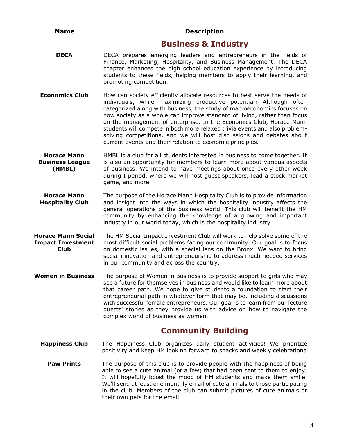#### **Business & Industry**

- **DECA** DECA prepares emerging leaders and entrepreneurs in the fields of Finance, Marketing, Hospitality, and Business Management. The DECA chapter enhances the high school education experience by introducing students to these fields, helping members to apply their learning, and promoting competition.
- **Economics Club** How can society efficiently allocate resources to best serve the needs of individuals, while maximizing productive potential? Although often categorized along with business, the study of macroeconomics focuses on how society as a whole can improve standard of living, rather than focus on the management of enterprise. In the Economics Club, Horace Mann students will compete in both more relaxed trivia events and also problemsolving competitions, and we will host discussions and debates about current events and their relation to economic principles.
- **Horace Mann Business League (HMBL)** HMBL is a club for all students interested in business to come together. It is also an opportunity for members to learn more about various aspects of business. We intend to have meetings about once every other week during I period, where we will host guest speakers, lead a stock market game, and more.
- **Horace Mann Hospitality Club** The purpose of the Horace Mann Hospitality Club is to provide information and insight into the ways in which the hospitality industry affects the general operations of the business world. This club will benefit the HM community by enhancing the knowledge of a growing and important industry in our world today, which is the hospitality industry.
- **Horace Mann Social Impact Investment Club** The HM Social Impact Investment Club will work to help solve some of the most difficult social problems facing our community. Our goal is to focus on domestic issues, with a special lens on the Bronx. We want to bring social innovation and entrepreneurship to address much needed services in our community and across the country.
- **Women in Business** The purpose of Women in Business is to provide support to girls who may see a future for themselves in business and would like to learn more about that career path. We hope to give students a foundation to start their entrepreneurial path in whatever form that may be, including discussions with successful female entrepreneurs. Our goal is to learn from our lecture guests' stories as they provide us with advice on how to navigate the complex world of business as women.

## **Community Building**

- **Happiness Club** The Happiness Club organizes daily student activities! We prioritize positivity and keep HM looking forward to snacks and weekly celebrations
	- **Paw Prints** The purpose of this club is to provide people with the happiness of being able to see a cute animal (or a few) that had been sent to them to enjoy. It will hopefully boost the mood of HM students and make them smile. We'll send at least one monthly email of cute animals to those participating in the club. Members of the club can submit pictures of cute animals or their own pets for the email.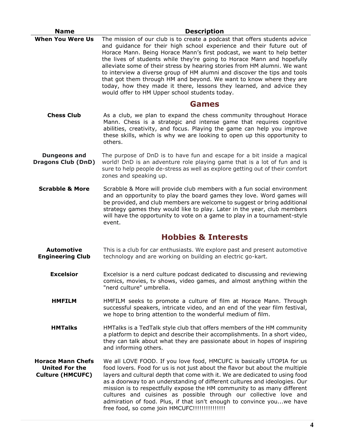| <b>Name</b>                                                                  | <b>Description</b>                                                                                                                                                                                                                                                                                                                                                                                                                                                                                                                                                                                                                                                 |
|------------------------------------------------------------------------------|--------------------------------------------------------------------------------------------------------------------------------------------------------------------------------------------------------------------------------------------------------------------------------------------------------------------------------------------------------------------------------------------------------------------------------------------------------------------------------------------------------------------------------------------------------------------------------------------------------------------------------------------------------------------|
| <b>When You Were Us</b>                                                      | The mission of our club is to create a podcast that offers students advice<br>and guidance for their high school experience and their future out of<br>Horace Mann. Being Horace Mann's first podcast, we want to help better<br>the lives of students while they're going to Horace Mann and hopefully<br>alleviate some of their stress by hearing stories from HM alumni. We want<br>to interview a diverse group of HM alumni and discover the tips and tools<br>that got them through HM and beyond. We want to know where they are<br>today, how they made it there, lessons they learned, and advice they<br>would offer to HM Upper school students today. |
|                                                                              | <b>Games</b>                                                                                                                                                                                                                                                                                                                                                                                                                                                                                                                                                                                                                                                       |
| <b>Chess Club</b>                                                            | As a club, we plan to expand the chess community throughout Horace<br>Mann. Chess is a strategic and intense game that requires cognitive<br>abilities, creativity, and focus. Playing the game can help you improve<br>these skills, which is why we are looking to open up this opportunity to<br>others.                                                                                                                                                                                                                                                                                                                                                        |
| <b>Dungeons and</b><br><b>Dragons Club (DnD)</b>                             | The purpose of DnD is to have fun and escape for a bit inside a magical<br>world! DnD is an adventure role playing game that is a lot of fun and is<br>sure to help people de-stress as well as explore getting out of their comfort<br>zones and speaking up.                                                                                                                                                                                                                                                                                                                                                                                                     |
| <b>Scrabble &amp; More</b>                                                   | Scrabble & More will provide club members with a fun social environment<br>and an opportunity to play the board games they love. Word games will<br>be provided, and club members are welcome to suggest or bring additional<br>strategy games they would like to play. Later in the year, club members<br>will have the opportunity to vote on a game to play in a tournament-style<br>event.                                                                                                                                                                                                                                                                     |
|                                                                              | <b>Hobbies &amp; Interests</b>                                                                                                                                                                                                                                                                                                                                                                                                                                                                                                                                                                                                                                     |
| <b>Automotive</b><br><b>Engineering Club</b>                                 | This is a club for car enthusiasts. We explore past and present automotive<br>technology and are working on building an electric go-kart.                                                                                                                                                                                                                                                                                                                                                                                                                                                                                                                          |
| <b>Excelsior</b>                                                             | Excelsior is a nerd culture podcast dedicated to discussing and reviewing<br>comics, movies, tv shows, video games, and almost anything within the<br>"nerd culture" umbrella.                                                                                                                                                                                                                                                                                                                                                                                                                                                                                     |
| <b>HMFILM</b>                                                                | HMFILM seeks to promote a culture of film at Horace Mann. Through<br>successful speakers, intricate video, and an end of the year film festival,<br>we hope to bring attention to the wonderful medium of film.                                                                                                                                                                                                                                                                                                                                                                                                                                                    |
| <b>HMTalks</b>                                                               | HMTalks is a TedTalk style club that offers members of the HM community<br>a platform to depict and describe their accomplishments. In a short video,<br>they can talk about what they are passionate about in hopes of inspiring<br>and informing others.                                                                                                                                                                                                                                                                                                                                                                                                         |
| <b>Horace Mann Chefs</b><br><b>United For the</b><br><b>Culture (HMCUFC)</b> | We all LOVE FOOD. If you love food, HMCUFC is basically UTOPIA for us<br>food lovers. Food for us is not just about the flavor but about the multiple<br>layers and cultural depth that come with it. We are dedicated to using food<br>as a doorway to an understanding of different cultures and ideologies. Our<br>mission is to respectfully expose the HM community to as many different<br>cultures and cuisines as possible through our collective love and<br>admiration of food. Plus, if that isn't enough to convince youwe have<br>free food, so come join HMCUFC!!!!!!!!!!!!!!!                                                                       |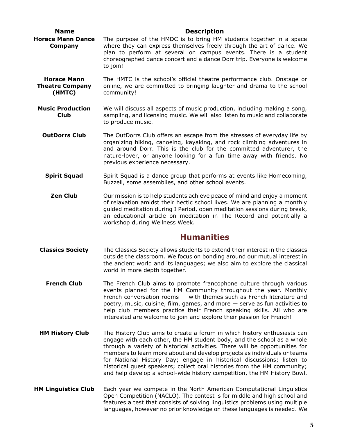| <b>Name</b>                                            | <b>Description</b>                                                                                                                                                                                                                                                                                                                                                                                                                                                                                                                             |
|--------------------------------------------------------|------------------------------------------------------------------------------------------------------------------------------------------------------------------------------------------------------------------------------------------------------------------------------------------------------------------------------------------------------------------------------------------------------------------------------------------------------------------------------------------------------------------------------------------------|
| <b>Horace Mann Dance</b><br>Company                    | The purpose of the HMDC is to bring HM students together in a space<br>where they can express themselves freely through the art of dance. We<br>plan to perform at several on campus events. There is a student<br>choreographed dance concert and a dance Dorr trip. Everyone is welcome<br>to join!                                                                                                                                                                                                                                          |
| <b>Horace Mann</b><br><b>Theatre Company</b><br>(HMTC) | The HMTC is the school's official theatre performance club. Onstage or<br>online, we are committed to bringing laughter and drama to the school<br>community!                                                                                                                                                                                                                                                                                                                                                                                  |
| <b>Music Production</b><br><b>Club</b>                 | We will discuss all aspects of music production, including making a song,<br>sampling, and licensing music. We will also listen to music and collaborate<br>to produce music.                                                                                                                                                                                                                                                                                                                                                                  |
| <b>OutDorrs Club</b>                                   | The OutDorrs Club offers an escape from the stresses of everyday life by<br>organizing hiking, canoeing, kayaking, and rock climbing adventures in<br>and around Dorr. This is the club for the committed adventurer, the<br>nature-lover, or anyone looking for a fun time away with friends. No<br>previous experience necessary.                                                                                                                                                                                                            |
| <b>Spirit Squad</b>                                    | Spirit Squad is a dance group that performs at events like Homecoming,<br>Buzzell, some assemblies, and other school events.                                                                                                                                                                                                                                                                                                                                                                                                                   |
| <b>Zen Club</b>                                        | Our mission is to help students achieve peace of mind and enjoy a moment<br>of relaxation amidst their hectic school lives. We are planning a monthly<br>guided meditation during I Period, open meditation sessions during break,<br>an educational article on meditation in The Record and potentially a<br>workshop during Wellness Week.                                                                                                                                                                                                   |
|                                                        | <b>Humanities</b>                                                                                                                                                                                                                                                                                                                                                                                                                                                                                                                              |
| <b>Classics Society</b>                                | The Classics Society allows students to extend their interest in the classics<br>outside the classroom. We focus on bonding around our mutual interest in<br>the ancient world and its languages; we also aim to explore the classical<br>world in more depth together.                                                                                                                                                                                                                                                                        |
| <b>French Club</b>                                     | The French Club aims to promote francophone culture through various<br>events planned for the HM Community throughout the year. Monthly<br>French conversation rooms $-$ with themes such as French literature and<br>poetry, music, cuisine, film, games, and more - serve as fun activities to<br>help club members practice their French speaking skills. All who are<br>interested are welcome to join and explore their passion for French!                                                                                               |
| <b>HM History Club</b>                                 | The History Club aims to create a forum in which history enthusiasts can<br>engage with each other, the HM student body, and the school as a whole<br>through a variety of historical activities. There will be opportunities for<br>members to learn more about and develop projects as individuals or teams<br>for National History Day; engage in historical discussions; listen to<br>historical guest speakers; collect oral histories from the HM community;<br>and help develop a school-wide history competition, the HM History Bowl. |
| <b>HM Linguistics Club</b>                             | Each year we compete in the North American Computational Linguistics<br>Open Competition (NACLO). The contest is for middle and high school and<br>features a test that consists of solving linguistics problems using multiple<br>languages, however no prior knowledge on these languages is needed. We                                                                                                                                                                                                                                      |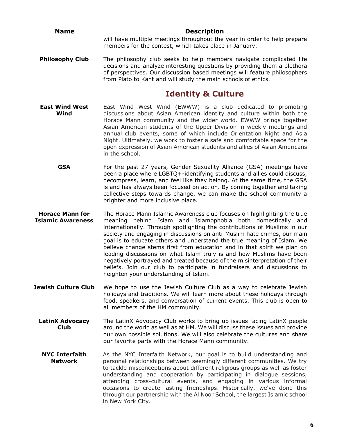| <b>Name</b>                                        | <b>Description</b>                                                                                                                                                                                                                                                                                                                                                                                                                                                                                                                                                                                                                                                                                                                |
|----------------------------------------------------|-----------------------------------------------------------------------------------------------------------------------------------------------------------------------------------------------------------------------------------------------------------------------------------------------------------------------------------------------------------------------------------------------------------------------------------------------------------------------------------------------------------------------------------------------------------------------------------------------------------------------------------------------------------------------------------------------------------------------------------|
|                                                    | will have multiple meetings throughout the year in order to help prepare<br>members for the contest, which takes place in January.                                                                                                                                                                                                                                                                                                                                                                                                                                                                                                                                                                                                |
| <b>Philosophy Club</b>                             | The philosophy club seeks to help members navigate complicated life<br>decisions and analyze interesting questions by providing them a plethora<br>of perspectives. Our discussion based meetings will feature philosophers<br>from Plato to Kant and will study the main schools of ethics.                                                                                                                                                                                                                                                                                                                                                                                                                                      |
|                                                    | <b>Identity &amp; Culture</b>                                                                                                                                                                                                                                                                                                                                                                                                                                                                                                                                                                                                                                                                                                     |
| <b>East Wind West</b><br>Wind                      | East Wind West Wind (EWWW) is a club dedicated to promoting<br>discussions about Asian American identity and culture within both the<br>Horace Mann community and the wider world. EWWW brings together<br>Asian American students of the Upper Division in weekly meetings and<br>annual club events, some of which include Orientation Night and Asia<br>Night. Ultimately, we work to foster a safe and comfortable space for the<br>open expression of Asian American students and allies of Asian Americans<br>in the school.                                                                                                                                                                                                |
| <b>GSA</b>                                         | For the past 27 years, Gender Sexuality Alliance (GSA) meetings have<br>been a place where LGBTQ+-identifying students and allies could discuss,<br>decompress, learn, and feel like they belong. At the same time, the GSA<br>is and has always been focused on action. By coming together and taking<br>collective steps towards change, we can make the school community a<br>brighter and more inclusive place.                                                                                                                                                                                                                                                                                                               |
| <b>Horace Mann for</b><br><b>Islamic Awareness</b> | The Horace Mann Islamic Awareness club focuses on highlighting the true<br>behind Islam and Islamophobia both domestically and<br>meaning<br>internationally. Through spotlighting the contributions of Muslims in our<br>society and engaging in discussions on anti-Muslim hate crimes, our main<br>goal is to educate others and understand the true meaning of Islam. We<br>believe change stems first from education and in that spirit we plan on<br>leading discussions on what Islam truly is and how Muslims have been<br>negatively portrayed and treated because of the misinterpretation of their<br>beliefs. Join our club to participate in fundraisers and discussions to<br>heighten your understanding of Islam. |
| <b>Jewish Culture Club</b>                         | We hope to use the Jewish Culture Club as a way to celebrate Jewish<br>holidays and traditions. We will learn more about these holidays through<br>food, speakers, and conversation of current events. This club is open to<br>all members of the HM community.                                                                                                                                                                                                                                                                                                                                                                                                                                                                   |
| <b>LatinX Advocacy</b><br><b>Club</b>              | The LatinX Advocacy Club works to bring up issues facing LatinX people<br>around the world as well as at HM. We will discuss these issues and provide<br>our own possible solutions. We will also celebrate the cultures and share<br>our favorite parts with the Horace Mann community.                                                                                                                                                                                                                                                                                                                                                                                                                                          |
| <b>NYC Interfaith</b><br><b>Network</b>            | As the NYC Interfaith Network, our goal is to build understanding and<br>personal relationships between seemingly different communities. We try<br>to tackle misconceptions about different religious groups as well as foster<br>understanding and cooperation by participating in dialogue sessions,<br>attending cross-cultural events, and engaging in various informal<br>occasions to create lasting friendships. Historically, we've done this<br>through our partnership with the Al Noor School, the largest Islamic school<br>in New York City.                                                                                                                                                                         |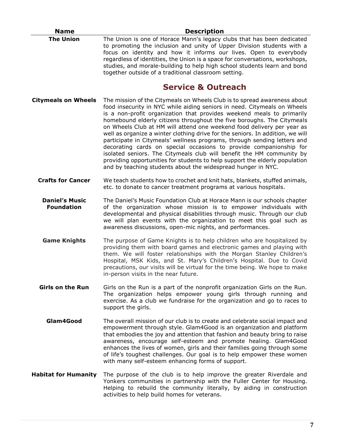| <b>Name</b>                                | <b>Description</b>                                                                                                                                                                                                                                                                                                                                                                                                                                                                                                                                                                                                                                                                                                                                                                                                                            |
|--------------------------------------------|-----------------------------------------------------------------------------------------------------------------------------------------------------------------------------------------------------------------------------------------------------------------------------------------------------------------------------------------------------------------------------------------------------------------------------------------------------------------------------------------------------------------------------------------------------------------------------------------------------------------------------------------------------------------------------------------------------------------------------------------------------------------------------------------------------------------------------------------------|
| <b>The Union</b>                           | The Union is one of Horace Mann's legacy clubs that has been dedicated<br>to promoting the inclusion and unity of Upper Division students with a<br>focus on identity and how it informs our lives. Open to everybody<br>regardless of identities, the Union is a space for conversations, workshops,<br>studies, and morale-building to help high school students learn and bond<br>together outside of a traditional classroom setting.                                                                                                                                                                                                                                                                                                                                                                                                     |
|                                            | <b>Service &amp; Outreach</b>                                                                                                                                                                                                                                                                                                                                                                                                                                                                                                                                                                                                                                                                                                                                                                                                                 |
| <b>Citymeals on Wheels</b>                 | The mission of the Citymeals on Wheels Club is to spread awareness about<br>food insecurity in NYC while aiding seniors in need. Citymeals on Wheels<br>is a non-profit organization that provides weekend meals to primarily<br>homebound elderly citizens throughout the five boroughs. The Citymeals<br>on Wheels Club at HM will attend one weekend food delivery per year as<br>well as organize a winter clothing drive for the seniors. In addition, we will<br>participate in Citymeals' wellness programs, through sending letters and<br>decorating cards on special occasions to provide companionship for<br>isolated seniors. The Citymeals club will benefit the HM community by<br>providing opportunities for students to help support the elderly population<br>and by teaching students about the widespread hunger in NYC. |
| <b>Crafts for Cancer</b>                   | We teach students how to crochet and knit hats, blankets, stuffed animals,<br>etc. to donate to cancer treatment programs at various hospitals.                                                                                                                                                                                                                                                                                                                                                                                                                                                                                                                                                                                                                                                                                               |
| <b>Daniel's Music</b><br><b>Foundation</b> | The Daniel's Music Foundation Club at Horace Mann is our schools chapter<br>of the organization whose mission is to empower individuals with<br>developmental and physical disabilities through music. Through our club<br>we will plan events with the organization to meet this goal such as<br>awareness discussions, open-mic nights, and performances.                                                                                                                                                                                                                                                                                                                                                                                                                                                                                   |
| <b>Game Knights</b>                        | The purpose of Game Knights is to help children who are hospitalized by<br>providing them with board games and electronic games and playing with<br>them. We will foster relationships with the Morgan Stanley Children's<br>Hospital, MSK Kids, and St. Mary's Children's Hospital. Due to Covid<br>precautions, our visits will be virtual for the time being. We hope to make<br>in-person visits in the near future.                                                                                                                                                                                                                                                                                                                                                                                                                      |
| <b>Girls on the Run</b>                    | Girls on the Run is a part of the nonprofit organization Girls on the Run.<br>The organization helps empower young girls through running and<br>exercise. As a club we fundraise for the organization and go to races to<br>support the girls.                                                                                                                                                                                                                                                                                                                                                                                                                                                                                                                                                                                                |
| Glam4Good                                  | The overall mission of our club is to create and celebrate social impact and<br>empowerment through style. Glam4Good is an organization and platform<br>that embodies the joy and attention that fashion and beauty bring to raise<br>awareness, encourage self-esteem and promote healing. Glam4Good<br>enhances the lives of women, girls and their families going through some<br>of life's toughest challenges. Our goal is to help empower these women<br>with many self-esteem enhancing forms of support.                                                                                                                                                                                                                                                                                                                              |
| <b>Habitat for Humanity</b>                | The purpose of the club is to help improve the greater Riverdale and<br>Yonkers communities in partnership with the Fuller Center for Housing.<br>Helping to rebuild the community literally, by aiding in construction<br>activities to help build homes for veterans.                                                                                                                                                                                                                                                                                                                                                                                                                                                                                                                                                                       |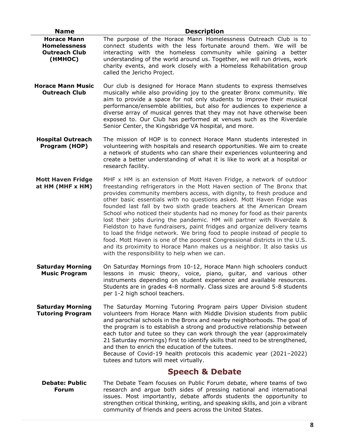| <b>Name</b>                                                                  | <b>Description</b>                                                                                                                                                                                                                                                                                                                                                                                                                                                                                                                                                                                                                                                                                                                                                                                                                                                                          |
|------------------------------------------------------------------------------|---------------------------------------------------------------------------------------------------------------------------------------------------------------------------------------------------------------------------------------------------------------------------------------------------------------------------------------------------------------------------------------------------------------------------------------------------------------------------------------------------------------------------------------------------------------------------------------------------------------------------------------------------------------------------------------------------------------------------------------------------------------------------------------------------------------------------------------------------------------------------------------------|
| <b>Horace Mann</b><br><b>Homelessness</b><br><b>Outreach Club</b><br>(HMHOC) | The purpose of the Horace Mann Homelessness Outreach Club is to<br>connect students with the less fortunate around them. We will be<br>interacting with the homeless community while gaining a better<br>understanding of the world around us. Together, we will run drives, work<br>charity events, and work closely with a Homeless Rehabilitation group<br>called the Jericho Project.                                                                                                                                                                                                                                                                                                                                                                                                                                                                                                   |
| <b>Horace Mann Music</b><br><b>Outreach Club</b>                             | Our club is designed for Horace Mann students to express themselves<br>musically while also providing joy to the greater Bronx community. We<br>aim to provide a space for not only students to improve their musical<br>performance/ensemble abilities, but also for audiences to experience a<br>diverse array of musical genres that they may not have otherwise been<br>exposed to. Our Club has performed at venues such as the Riverdale<br>Senior Center, the Kingsbridge VA hospital, and more.                                                                                                                                                                                                                                                                                                                                                                                     |
| <b>Hospital Outreach</b><br>Program (HOP)                                    | The mission of HOP is to connect Horace Mann students interested in<br>volunteering with hospitals and research opportunities. We aim to create<br>a network of students who can share their experiences volunteering and<br>create a better understanding of what it is like to work at a hospital or<br>research facility.                                                                                                                                                                                                                                                                                                                                                                                                                                                                                                                                                                |
| <b>Mott Haven Fridge</b><br>at HM (MHF x HM)                                 | MHF x HM is an extension of Mott Haven Fridge, a network of outdoor<br>freestanding refrigerators in the Mott Haven section of The Bronx that<br>provides community members access, with dignity, to fresh produce and<br>other basic essentials with no questions asked. Mott Haven Fridge was<br>founded last fall by two sixth grade teachers at the American Dream<br>School who noticed their students had no money for food as their parents<br>lost their jobs during the pandemic. HM will partner with Riverdale &<br>Fieldston to have fundraisers, paint fridges and organize delivery teams<br>to load the fridge network. We bring food to people instead of people to<br>food. Mott Haven is one of the poorest Congressional districts in the U.S.<br>and its proximity to Horace Mann makes us a neighbor. It also tasks us<br>with the responsibility to help when we can. |
| <b>Saturday Morning</b><br><b>Music Program</b>                              | On Saturday Mornings from 10-12, Horace Mann high schoolers conduct<br>lessons in music theory, voice, piano, guitar, and various other<br>instruments depending on student experience and available resources.<br>Students are in grades 4-8 normally. Class sizes are around 5-8 students<br>per 1-2 high school teachers.                                                                                                                                                                                                                                                                                                                                                                                                                                                                                                                                                                |
| <b>Saturday Morning</b><br><b>Tutoring Program</b>                           | The Saturday Morning Tutoring Program pairs Upper Division student<br>volunteers from Horace Mann with Middle Division students from public<br>and parochial schools in the Bronx and nearby neighborhoods. The goal of<br>the program is to establish a strong and productive relationship between<br>each tutor and tutee so they can work through the year (approximately<br>21 Saturday mornings) first to identify skills that need to be strengthened,<br>and then to enrich the education of the tutees.<br>Because of Covid-19 health protocols this academic year (2021-2022)<br>tutees and tutors will meet virtually.                                                                                                                                                                                                                                                            |
|                                                                              | <b>Speech &amp; Debate</b>                                                                                                                                                                                                                                                                                                                                                                                                                                                                                                                                                                                                                                                                                                                                                                                                                                                                  |
| <b>Debate: Public</b><br><b>Forum</b>                                        | The Debate Team focuses on Public Forum debate, where teams of two<br>research and argue both sides of pressing national and international<br>issues. Most importantly, debate affords students the opportunity to<br>strengthen critical thinking, writing, and speaking skills, and join a vibrant<br>community of friends and peers across the United States.                                                                                                                                                                                                                                                                                                                                                                                                                                                                                                                            |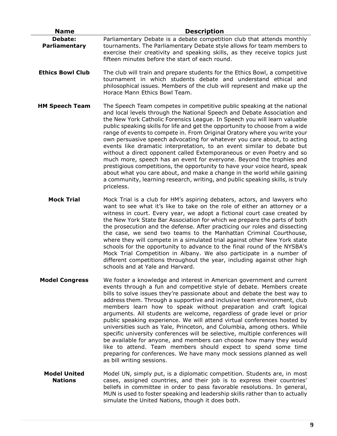| <b>Name</b>                     | <b>Description</b>                                                                                                                                                                                                                                                                                                                                                                                                                                                                                                                                                                                                                                                                                                                                                                                                                                                                                                                                         |
|---------------------------------|------------------------------------------------------------------------------------------------------------------------------------------------------------------------------------------------------------------------------------------------------------------------------------------------------------------------------------------------------------------------------------------------------------------------------------------------------------------------------------------------------------------------------------------------------------------------------------------------------------------------------------------------------------------------------------------------------------------------------------------------------------------------------------------------------------------------------------------------------------------------------------------------------------------------------------------------------------|
| <b>Debate:</b><br>Parliamentary | Parliamentary Debate is a debate competition club that attends monthly<br>tournaments. The Parliamentary Debate style allows for team members to<br>exercise their creativity and speaking skills, as they receive topics just<br>fifteen minutes before the start of each round.                                                                                                                                                                                                                                                                                                                                                                                                                                                                                                                                                                                                                                                                          |
| <b>Ethics Bowl Club</b>         | The club will train and prepare students for the Ethics Bowl, a competitive<br>tournament in which students debate and understand ethical and<br>philosophical issues. Members of the club will represent and make up the<br>Horace Mann Ethics Bowl Team.                                                                                                                                                                                                                                                                                                                                                                                                                                                                                                                                                                                                                                                                                                 |
| <b>HM Speech Team</b>           | The Speech Team competes in competitive public speaking at the national<br>and local levels through the National Speech and Debate Association and<br>the New York Catholic Forensics League. In Speech you will learn valuable<br>public speaking skills for life and get the opportunity to choose from a wide<br>range of events to compete in. From Original Oratory where you write your<br>own persuasive speech advocating for whatever you care about, to acting<br>events like dramatic interpretation, to an event similar to debate but<br>without a direct opponent called Extemporaneous or even Poetry and so<br>much more, speech has an event for everyone. Beyond the trophies and<br>prestigious competitions, the opportunity to have your voice heard, speak<br>about what you care about, and make a change in the world while gaining<br>a community, learning research, writing, and public speaking skills, is truly<br>priceless. |
| <b>Mock Trial</b>               | Mock Trial is a club for HM's aspiring debaters, actors, and lawyers who<br>want to see what it's like to take on the role of either an attorney or a<br>witness in court. Every year, we adopt a fictional court case created by<br>the New York State Bar Association for which we prepare the parts of both<br>the prosecution and the defense. After practicing our roles and dissecting<br>the case, we send two teams to the Manhattan Criminal Courthouse,<br>where they will compete in a simulated trial against other New York state<br>schools for the opportunity to advance to the final round of the NYSBA's<br>Mock Trial Competition in Albany. We also participate in a number of<br>different competitions throughout the year, including against other high<br>schools and at Yale and Harvard.                                                                                                                                         |
| <b>Model Congress</b>           | We foster a knowledge and interest in American government and current<br>events through a fun and competitive style of debate. Members create<br>bills to solve issues they're passionate about and debate the best way to<br>address them. Through a supportive and inclusive team environment, club<br>members learn how to speak without preparation and craft logical<br>arguments. All students are welcome, regardless of grade level or prior<br>public speaking experience. We will attend virtual conferences hosted by<br>universities such as Yale, Princeton, and Columbia, among others. While<br>specific university conferences will be selective, multiple conferences will<br>be available for anyone, and members can choose how many they would<br>like to attend. Team members should expect to spend some time<br>preparing for conferences. We have many mock sessions planned as well                                               |

**Model United Nations** Model UN, simply put, is a diplomatic competition. Students are, in most cases, assigned countries, and their job is to express their countries' beliefs in committee in order to pass favorable resolutions. In general, MUN is used to foster speaking and leadership skills rather than to actually simulate the United Nations, though it does both.

as bill writing sessions.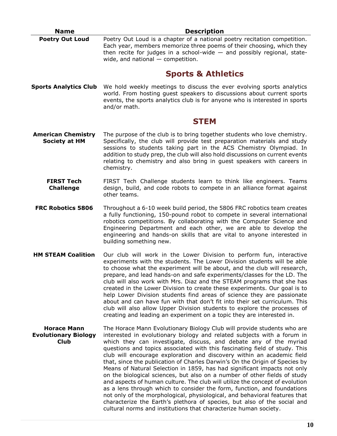| <b>Name</b>                                               | <b>Description</b>                                                                                                                                                                                                                                                                                                                                                                                                                                                                                                                                                                                                                                                                                                                                                                                                                                                                                                                                                                                               |
|-----------------------------------------------------------|------------------------------------------------------------------------------------------------------------------------------------------------------------------------------------------------------------------------------------------------------------------------------------------------------------------------------------------------------------------------------------------------------------------------------------------------------------------------------------------------------------------------------------------------------------------------------------------------------------------------------------------------------------------------------------------------------------------------------------------------------------------------------------------------------------------------------------------------------------------------------------------------------------------------------------------------------------------------------------------------------------------|
| <b>Poetry Out Loud</b>                                    | Poetry Out Loud is a chapter of a national poetry recitation competition.<br>Each year, members memorize three poems of their choosing, which they<br>then recite for judges in a school-wide $-$ and possibly regional, state-<br>wide, and national $-$ competition.                                                                                                                                                                                                                                                                                                                                                                                                                                                                                                                                                                                                                                                                                                                                           |
|                                                           | <b>Sports &amp; Athletics</b>                                                                                                                                                                                                                                                                                                                                                                                                                                                                                                                                                                                                                                                                                                                                                                                                                                                                                                                                                                                    |
| <b>Sports Analytics Club</b>                              | We hold weekly meetings to discuss the ever evolving sports analytics<br>world. From hosting guest speakers to discussions about current sports<br>events, the sports analytics club is for anyone who is interested in sports<br>and/or math.                                                                                                                                                                                                                                                                                                                                                                                                                                                                                                                                                                                                                                                                                                                                                                   |
|                                                           | <b>STEM</b>                                                                                                                                                                                                                                                                                                                                                                                                                                                                                                                                                                                                                                                                                                                                                                                                                                                                                                                                                                                                      |
| <b>American Chemistry</b><br><b>Society at HM</b>         | The purpose of the club is to bring together students who love chemistry.<br>Specifically, the club will provide test preparation materials and study<br>sessions to students taking part in the ACS Chemistry Olympiad. In<br>addition to study prep, the club will also hold discussions on current events<br>relating to chemistry and also bring in guest speakers with careers in<br>chemistry.                                                                                                                                                                                                                                                                                                                                                                                                                                                                                                                                                                                                             |
| <b>FIRST Tech</b><br><b>Challenge</b>                     | FIRST Tech Challenge students learn to think like engineers. Teams<br>design, build, and code robots to compete in an alliance format against<br>other teams.                                                                                                                                                                                                                                                                                                                                                                                                                                                                                                                                                                                                                                                                                                                                                                                                                                                    |
| <b>FRC Robotics 5806</b>                                  | Throughout a 6-10 week build period, the 5806 FRC robotics team creates<br>a fully functioning, 150-pound robot to compete in several international<br>robotics competitions. By collaborating with the Computer Science and<br>Engineering Department and each other, we are able to develop the<br>engineering and hands-on skills that are vital to anyone interested in<br>building something new.                                                                                                                                                                                                                                                                                                                                                                                                                                                                                                                                                                                                           |
| <b>HM STEAM Coalition</b>                                 | Our club will work in the Lower Division to perform fun, interactive<br>experiments with the students. The Lower Division students will be able<br>to choose what the experiment will be about, and the club will research,<br>prepare, and lead hands-on and safe experiments/classes for the LD. The<br>club will also work with Mrs. Diaz and the STEAM programs that she has<br>created in the Lower Division to create these experiments. Our goal is to<br>help Lower Division students find areas of science they are passionate<br>about and can have fun with that don't fit into their set curriculum. This<br>club will also allow Upper Division students to explore the processes of<br>creating and leading an experiment on a topic they are interested in.                                                                                                                                                                                                                                       |
| <b>Horace Mann</b><br><b>Evolutionary Biology</b><br>Club | The Horace Mann Evolutionary Biology Club will provide students who are<br>interested in evolutionary biology and related subjects with a forum in<br>which they can investigate, discuss, and debate any of the myriad<br>questions and topics associated with this fascinating field of study. This<br>club will encourage exploration and discovery within an academic field<br>that, since the publication of Charles Darwin's On the Origin of Species by<br>Means of Natural Selection in 1859, has had significant impacts not only<br>on the biological sciences, but also on a number of other fields of study<br>and aspects of human culture. The club will utilize the concept of evolution<br>as a lens through which to consider the form, function, and foundations<br>not only of the morphological, physiological, and behavioral features that<br>characterize the Earth's plethora of species, but also of the social and<br>cultural norms and institutions that characterize human society. |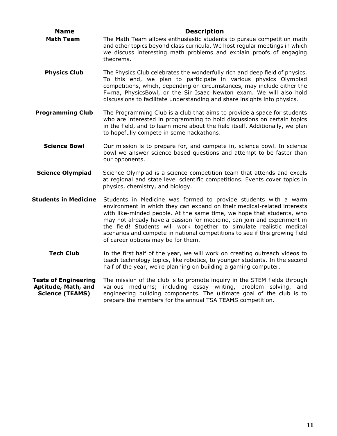| <b>Name</b>                                                                  | <b>Description</b>                                                                                                                                                                                                                                                                                                                                                                                                                                                                          |
|------------------------------------------------------------------------------|---------------------------------------------------------------------------------------------------------------------------------------------------------------------------------------------------------------------------------------------------------------------------------------------------------------------------------------------------------------------------------------------------------------------------------------------------------------------------------------------|
| <b>Math Team</b>                                                             | The Math Team allows enthusiastic students to pursue competition math<br>and other topics beyond class curricula. We host regular meetings in which<br>we discuss interesting math problems and explain proofs of engaging<br>theorems.                                                                                                                                                                                                                                                     |
| <b>Physics Club</b>                                                          | The Physics Club celebrates the wonderfully rich and deep field of physics.<br>To this end, we plan to participate in various physics Olympiad<br>competitions, which, depending on circumstances, may include either the<br>F=ma, PhysicsBowl, or the Sir Isaac Newton exam. We will also hold<br>discussions to facilitate understanding and share insights into physics.                                                                                                                 |
| <b>Programming Club</b>                                                      | The Programming Club is a club that aims to provide a space for students<br>who are interested in programming to hold discussions on certain topics<br>in the field, and to learn more about the field itself. Additionally, we plan<br>to hopefully compete in some hackathons.                                                                                                                                                                                                            |
| <b>Science Bowl</b>                                                          | Our mission is to prepare for, and compete in, science bowl. In science<br>bowl we answer science based questions and attempt to be faster than<br>our opponents.                                                                                                                                                                                                                                                                                                                           |
| <b>Science Olympiad</b>                                                      | Science Olympiad is a science competition team that attends and excels<br>at regional and state level scientific competitions. Events cover topics in<br>physics, chemistry, and biology.                                                                                                                                                                                                                                                                                                   |
| <b>Students in Medicine</b>                                                  | Students in Medicine was formed to provide students with a warm<br>environment in which they can expand on their medical-related interests<br>with like-minded people. At the same time, we hope that students, who<br>may not already have a passion for medicine, can join and experiment in<br>the field! Students will work together to simulate realistic medical<br>scenarios and compete in national competitions to see if this growing field<br>of career options may be for them. |
| <b>Tech Club</b>                                                             | In the first half of the year, we will work on creating outreach videos to<br>teach technology topics, like robotics, to younger students. In the second<br>half of the year, we're planning on building a gaming computer.                                                                                                                                                                                                                                                                 |
| <b>Tests of Engineering</b><br>Aptitude, Math, and<br><b>Science (TEAMS)</b> | The mission of the club is to promote inquiry in the STEM fields through<br>various mediums; including essay writing, problem solving, and<br>engineering building components. The ultimate goal of the club is to<br>prepare the members for the annual TSA TEAMS competition.                                                                                                                                                                                                             |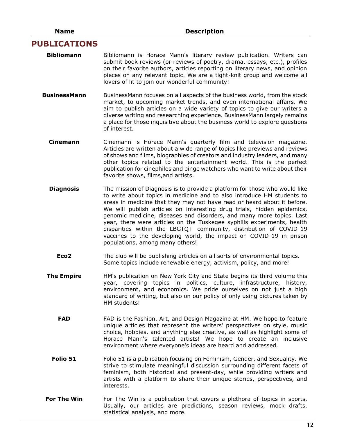#### **PUBLICATIONS**

- **Bibliomann** Bibliomann is Horace Mann's literary review publication. Writers can submit book reviews (or reviews of poetry, drama, essays, etc.), profiles on their favorite authors, articles reporting on literary news, and opinion pieces on any relevant topic. We are a tight-knit group and welcome all lovers of lit to join our wonderful community!
- **BusinessMann** BusinessMann focuses on all aspects of the business world, from the stock market, to upcoming market trends, and even international affairs. We aim to publish articles on a wide variety of topics to give our writers a diverse writing and researching experience. BusinessMann largely remains a place for those inquisitive about the business world to explore questions of interest.
	- **Cinemann** Cinemann is Horace Mann's quarterly film and television magazine. Articles are written about a wide range of topics like previews and reviews of shows and films, biographies of creators and industry leaders, and many other topics related to the entertainment world. This is the perfect publication for cinephiles and binge watchers who want to write about their favorite shows, films,and artists.
	- **Diagnosis** The mission of Diagnosis is to provide a platform for those who would like to write about topics in medicine and to also introduce HM students to areas in medicine that they may not have read or heard about it before. We will publish articles on interesting drug trials, hidden epidemics, genomic medicine, diseases and disorders, and many more topics. Last year, there were articles on the Tuskegee syphilis experiments, health disparities within the LBGTQ+ community, distribution of COVID-19 vaccines to the developing world, the impact on COVID-19 in prison populations, among many others!
		- **Eco2** The club will be publishing articles on all sorts of environmental topics. Some topics include renewable energy, activism, policy, and more!
	- **The Empire** HM's publication on New York City and State begins its third volume this year, covering topics in politics, culture, infrastructure, history, environment, and economics. We pride ourselves on not just a high standard of writing, but also on our policy of only using pictures taken by HM students!
		- **FAD** FAD is the Fashion, Art, and Design Magazine at HM. We hope to feature unique articles that represent the writers' perspectives on style, music choice, hobbies, and anything else creative, as well as highlight some of Horace Mann's talented artists! We hope to create an inclusive environment where everyone's ideas are heard and addressed.
		- **Folio 51** Folio 51 is a publication focusing on Feminism, Gender, and Sexuality. We strive to stimulate meaningful discussion surrounding different facets of feminism, both historical and present-day, while providing writers and artists with a platform to share their unique stories, perspectives, and interests.
- **For The Win** For The Win is a publication that covers a plethora of topics in sports. Usually, our articles are predictions, season reviews, mock drafts, statistical analysis, and more.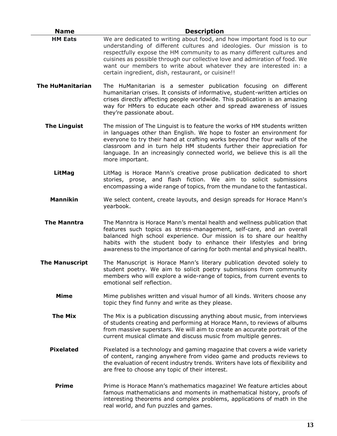| <b>Name</b>             | <b>Description</b>                                                                                                                                                                                                                                                                                                                                                                                                                     |
|-------------------------|----------------------------------------------------------------------------------------------------------------------------------------------------------------------------------------------------------------------------------------------------------------------------------------------------------------------------------------------------------------------------------------------------------------------------------------|
| <b>HM Eats</b>          | We are dedicated to writing about food, and how important food is to our<br>understanding of different cultures and ideologies. Our mission is to<br>respectfully expose the HM community to as many different cultures and<br>cuisines as possible through our collective love and admiration of food. We<br>want our members to write about whatever they are interested in: a<br>certain ingredient, dish, restaurant, or cuisine!! |
| <b>The HuManitarian</b> | The HuManitarian is a semester publication focusing on different<br>humanitarian crises. It consists of informative, student-written articles on<br>crises directly affecting people worldwide. This publication is an amazing<br>way for HMers to educate each other and spread awareness of issues<br>they're passionate about.                                                                                                      |
| <b>The Linguist</b>     | The mission of The Linguist is to feature the works of HM students written<br>in languages other than English. We hope to foster an environment for<br>everyone to try their hand at crafting works beyond the four walls of the<br>classroom and in turn help HM students further their appreciation for<br>language. In an increasingly connected world, we believe this is all the<br>more important.                               |
| LitMag                  | LitMag is Horace Mann's creative prose publication dedicated to short<br>stories, prose, and flash fiction. We aim to solicit submissions<br>encompassing a wide range of topics, from the mundane to the fantastical.                                                                                                                                                                                                                 |
| <b>Mannikin</b>         | We select content, create layouts, and design spreads for Horace Mann's<br>yearbook.                                                                                                                                                                                                                                                                                                                                                   |
| <b>The Manntra</b>      | The Manntra is Horace Mann's mental health and wellness publication that<br>features such topics as stress-management, self-care, and an overall<br>balanced high school experience. Our mission is to share our healthy<br>habits with the student body to enhance their lifestyles and bring<br>awareness to the importance of caring for both mental and physical health.                                                           |
| <b>The Manuscript</b>   | The Manuscript is Horace Mann's literary publication devoted solely to<br>student poetry. We aim to solicit poetry submissions from community<br>members who will explore a wide-range of topics, from current events to<br>emotional self reflection.                                                                                                                                                                                 |
| <b>Mime</b>             | Mime publishes written and visual humor of all kinds. Writers choose any<br>topic they find funny and write as they please.                                                                                                                                                                                                                                                                                                            |
| <b>The Mix</b>          | The Mix is a publication discussing anything about music, from interviews<br>of students creating and performing at Horace Mann, to reviews of albums<br>from massive superstars. We will aim to create an accurate portrait of the<br>current musical climate and discuss music from multiple genres.                                                                                                                                 |
| <b>Pixelated</b>        | Pixelated is a technology and gaming magazine that covers a wide variety<br>of content, ranging anywhere from video game and products reviews to<br>the evaluation of recent industry trends. Writers have lots of flexibility and<br>are free to choose any topic of their interest.                                                                                                                                                  |
| <b>Prime</b>            | Prime is Horace Mann's mathematics magazine! We feature articles about<br>famous mathematicians and moments in mathematical history, proofs of<br>interesting theorems and complex problems, applications of math in the<br>real world, and fun puzzles and games.                                                                                                                                                                     |

L.